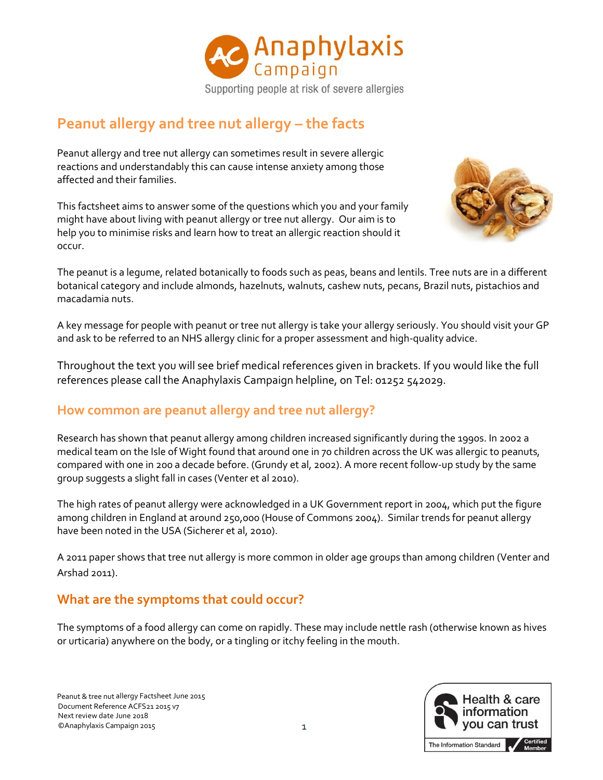

# **Peanut allergy and tree nut allergy – the facts**

Peanut allergy and tree nut allergy can sometimes result in severe allergic reactions and understandably this can cause intense anxiety among those affected and their families.

This factsheet aims to answer some of the questions which you and your family might have about living with peanut allergy or tree nut allergy. Our aim is to help you to minimise risks and learn how to treat an allergic reaction should it occur.



The peanut is a legume, related botanically to foods such as peas, beans and lentils. Tree nuts are in a different botanical category and include almonds, hazelnuts, walnuts, cashew nuts, pecans, Brazil nuts, pistachios and macadamia nuts.

A key message for people with peanut or tree nut allergy is take your allergy seriously. You should visit your GP and ask to be referred to an NHS allergy clinic for a proper assessment and high-quality advice.

Throughout the text you will see brief medical references given in brackets. If you would like the full references please call the Anaphylaxis Campaign helpline, on Tel: 01252 542029.

### **How common are peanut allergy and tree nut allergy?**

Research has shown that peanut allergy among children increased significantly during the 1990s. In 2002 a medical team on the Isle of Wight found that around one in 70 children across the UK was allergic to peanuts, compared with one in 200 a decade before. (Grundy et al, 2002). A more recent follow-up study by the same group suggests a slight fall in cases (Venter et al 2010).

The high rates of peanut allergy were acknowledged in a UK Government report in 2004, which put the figure among children in England at around 250,000 (House of Commons 2004). Similar trends for peanut allergy have been noted in the USA (Sicherer et al, 2010).

A 2011 paper shows that tree nut allergy is more common in older age groups than among children (Venter and Arshad 2011).

### **What are the symptoms that could occur?**

The symptoms of a food allergy can come on rapidly. These may include nettle rash (otherwise known as hives or urticaria) anywhere on the body, or a tingling or itchy feeling in the mouth.

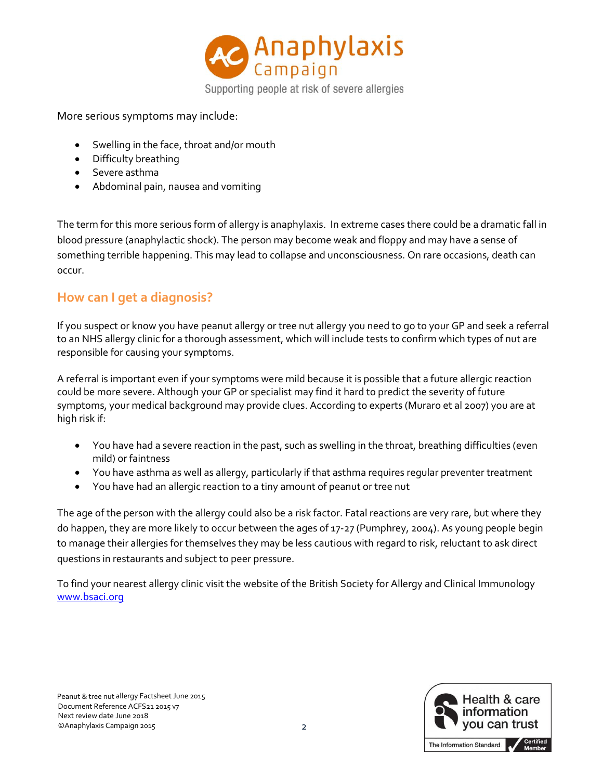

More serious symptoms may include:

- Swelling in the face, throat and/or mouth
- Difficulty breathing
- Severe asthma
- Abdominal pain, nausea and vomiting

The term for this more serious form of allergy is anaphylaxis. In extreme cases there could be a dramatic fall in blood pressure (anaphylactic shock). The person may become weak and floppy and may have a sense of something terrible happening. This may lead to collapse and unconsciousness. On rare occasions, death can occur.

### **How can I get a diagnosis?**

If you suspect or know you have peanut allergy or tree nut allergy you need to go to your GP and seek a referral to an NHS allergy clinic for a thorough assessment, which will include tests to confirm which types of nut are responsible for causing your symptoms.

A referral is important even if your symptoms were mild because it is possible that a future allergic reaction could be more severe. Although your GP or specialist may find it hard to predict the severity of future symptoms, your medical background may provide clues. According to experts (Muraro et al 2007) you are at high risk if:

- You have had a severe reaction in the past, such as swelling in the throat, breathing difficulties (even mild) or faintness
- You have asthma as well as allergy, particularly if that asthma requires regular preventer treatment
- You have had an allergic reaction to a tiny amount of peanut or tree nut

The age of the person with the allergy could also be a risk factor. Fatal reactions are very rare, but where they do happen, they are more likely to occur between the ages of 17-27 (Pumphrey, 2004). As young people begin to manage their allergies for themselves they may be less cautious with regard to risk, reluctant to ask direct questions in restaurants and subject to peer pressure.

To find your nearest allergy clinic visit the website of the British Society for Allergy and Clinical Immunology [www.bsaci.org](http://www.bsaci.org/)

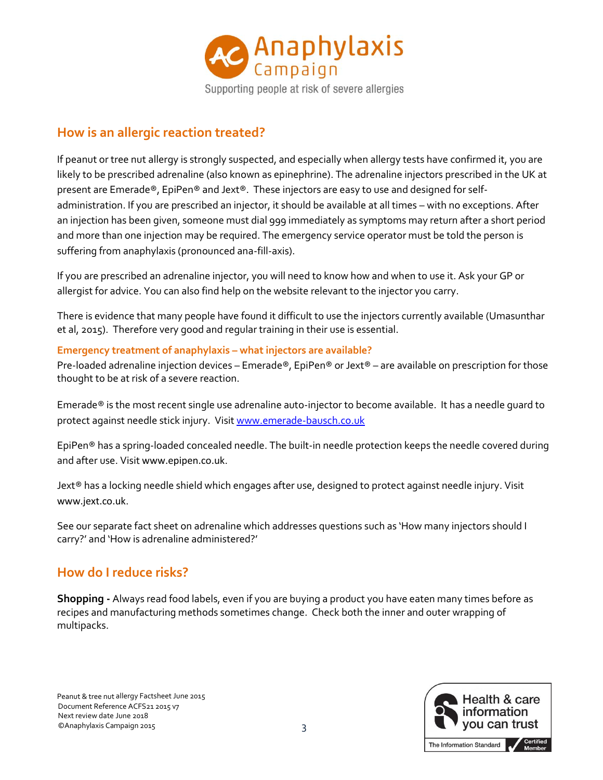

#### **How is an allergic reaction treated?**

If peanut or tree nut allergy is strongly suspected, and especially when allergy tests have confirmed it, you are likely to be prescribed adrenaline (also known as epinephrine). The adrenaline injectors prescribed in the UK at present are Emerade®, EpiPen® and Jext®. These injectors are easy to use and designed for selfadministration. If you are prescribed an injector, it should be available at all times – with no exceptions. After an injection has been given, someone must dial 999 immediately as symptoms may return after a short period and more than one injection may be required. The emergency service operator must be told the person is suffering from anaphylaxis (pronounced ana-fill-axis).

If you are prescribed an adrenaline injector, you will need to know how and when to use it. Ask your GP or allergist for advice. You can also find help on the website relevant to the injector you carry.

There is evidence that many people have found it difficult to use the injectors currently available (Umasunthar et al, 2015). Therefore very good and regular training in their use is essential.

#### **Emergency treatment of anaphylaxis – what injectors are available?**

Pre-loaded adrenaline injection devices – Emerade®, EpiPen® or Jext® – are available on prescription for those thought to be at risk of a severe reaction.

Emerade® is the most recent single use adrenaline auto-injector to become available. It has a needle guard to protect against needle stick injury. Visi[t www.emerade-bausch.co.uk](http://www.emerade-bausch.co.uk/)

EpiPen® has a spring-loaded concealed needle. The built-in needle protection keeps the needle covered during and after use. Visit [www.epipen.co.uk](http://www.epipen.co.uk/).

Jext® has a locking needle shield which engages after use, designed to protect against needle injury. Visit [www.jext.co.uk](http://www.jext.co.uk/).

See our separate fact sheet on adrenaline which addresses questions such as 'How many injectors should I carry?' and 'How is adrenaline administered?'

### **How do I reduce risks?**

**Shopping -** Always read food labels, even if you are buying a product you have eaten many times before as recipes and manufacturing methods sometimes change. Check both the inner and outer wrapping of multipacks.

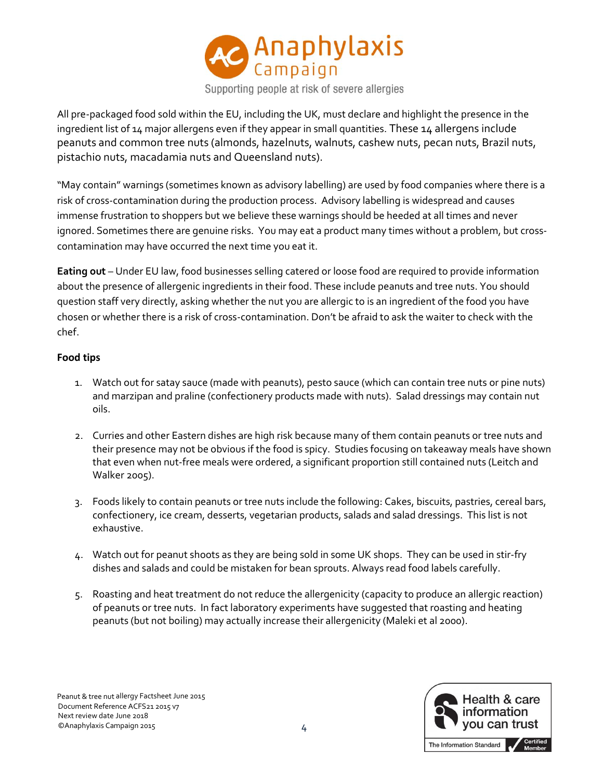

All pre-packaged food sold within the EU, including the UK, must declare and highlight the presence in the ingredient list of 14 major allergens even if they appear in small quantities. These 14 allergens include peanuts and common tree nuts (almonds, hazelnuts, walnuts, cashew nuts, pecan nuts, Brazil nuts, pistachio nuts, macadamia nuts and Queensland nuts).

"May contain" warnings (sometimes known as advisory labelling) are used by food companies where there is a risk of cross-contamination during the production process. Advisory labelling is widespread and causes immense frustration to shoppers but we believe these warnings should be heeded at all times and never ignored. Sometimes there are genuine risks. You may eat a product many times without a problem, but crosscontamination may have occurred the next time you eat it.

**Eating out** – Under EU law, food businesses selling catered or loose food are required to provide information about the presence of allergenic ingredients in their food. These include peanuts and tree nuts. You should question staff very directly, asking whether the nut you are allergic to is an ingredient of the food you have chosen or whether there is a risk of cross-contamination. Don't be afraid to ask the waiter to check with the chef.

#### **Food tips**

- 1. Watch out for satay sauce (made with peanuts), pesto sauce (which can contain tree nuts or pine nuts) and marzipan and praline (confectionery products made with nuts). Salad dressings may contain nut oils.
- 2. Curries and other Eastern dishes are high risk because many of them contain peanuts or tree nuts and their presence may not be obvious if the food is spicy. Studies focusing on takeaway meals have shown that even when nut-free meals were ordered, a significant proportion still contained nuts (Leitch and Walker 2005).
- 3. Foods likely to contain peanuts or tree nuts include the following: Cakes, biscuits, pastries, cereal bars, confectionery, ice cream, desserts, vegetarian products, salads and salad dressings. This list is not exhaustive.
- 4. Watch out for peanut shoots as they are being sold in some UK shops. They can be used in stir-fry dishes and salads and could be mistaken for bean sprouts. Always read food labels carefully.
- 5. Roasting and heat treatment do not reduce the allergenicity (capacity to produce an allergic reaction) of peanuts or tree nuts. In fact laboratory experiments have suggested that roasting and heating peanuts (but not boiling) may actually increase their allergenicity (Maleki et al 2000).

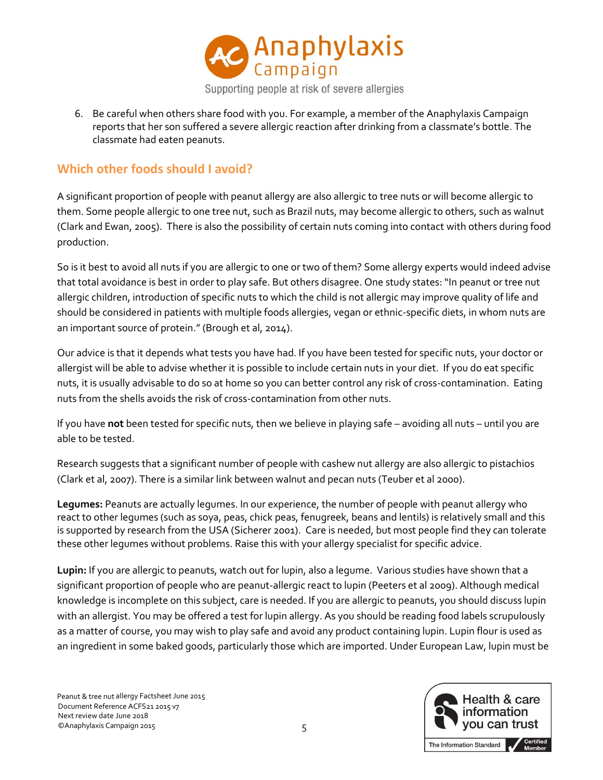

6. Be careful when others share food with you. For example, a member of the Anaphylaxis Campaign reports that her son suffered a severe allergic reaction after drinking from a classmate's bottle. The classmate had eaten peanuts.

#### **Which other foods should I avoid?**

A significant proportion of people with peanut allergy are also allergic to tree nuts or will become allergic to them. Some people allergic to one tree nut, such as Brazil nuts, may become allergic to others, such as walnut (Clark and Ewan, 2005). There is also the possibility of certain nuts coming into contact with others during food production.

So is it best to avoid all nuts if you are allergic to one or two of them? Some allergy experts would indeed advise that total avoidance is best in order to play safe. But others disagree. One study states: "In peanut or tree nut allergic children, introduction of specific nuts to which the child is not allergic may improve quality of life and should be considered in patients with multiple foods allergies, vegan or ethnic-specific diets, in whom nuts are an important source of protein." (Brough et al, 2014).

Our advice is that it depends what tests you have had. If you have been tested for specific nuts, your doctor or allergist will be able to advise whether it is possible to include certain nuts in your diet. If you do eat specific nuts, it is usually advisable to do so at home so you can better control any risk of cross-contamination. Eating nuts from the shells avoids the risk of cross-contamination from other nuts.

If you have **not** been tested for specific nuts, then we believe in playing safe – avoiding all nuts – until you are able to be tested.

Research suggests that a significant number of people with cashew nut allergy are also allergic to pistachios (Clark et al, 2007). There is a similar link between walnut and pecan nuts (Teuber et al 2000).

**Legumes:** Peanuts are actually legumes. In our experience, the number of people with peanut allergy who react to other legumes (such as soya, peas, chick peas, fenugreek, beans and lentils) is relatively small and this is supported by research from the USA (Sicherer 2001). Care is needed, but most people find they can tolerate these other legumes without problems. Raise this with your allergy specialist for specific advice.

**Lupin:** If you are allergic to peanuts, watch out for lupin, also a legume. Various studies have shown that a significant proportion of people who are peanut-allergic react to lupin (Peeters et al 2009). Although medical knowledge is incomplete on this subject, care is needed. If you are allergic to peanuts, you should discuss lupin with an allergist. You may be offered a test for lupin allergy. As you should be reading food labels scrupulously as a matter of course, you may wish to play safe and avoid any product containing lupin. Lupin flour is used as an ingredient in some baked goods, particularly those which are imported. Under European Law, lupin must be

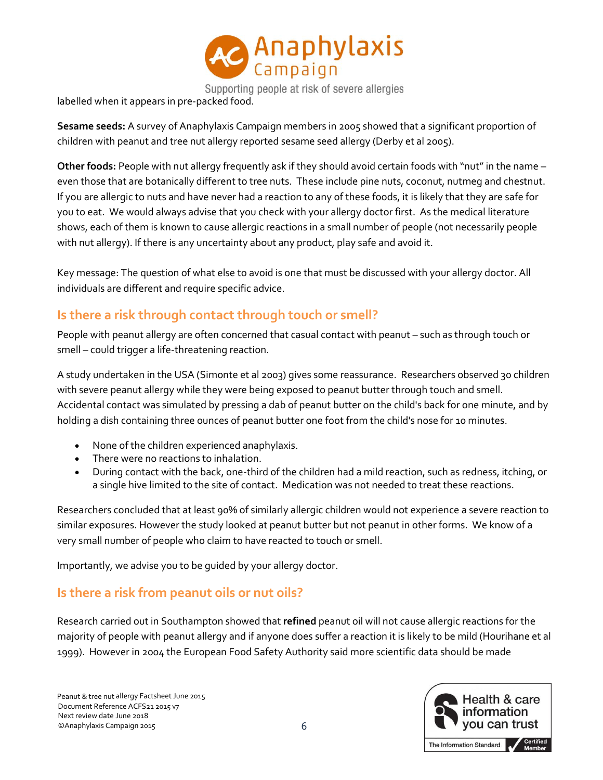

Supporting people at risk of severe allergies

labelled when it appears in pre-packed food.

**Sesame seeds:** A survey of Anaphylaxis Campaign members in 2005 showed that a significant proportion of children with peanut and tree nut allergy reported sesame seed allergy (Derby et al 2005).

**Other foods:** People with nut allergy frequently ask if they should avoid certain foods with "nut" in the name – even those that are botanically different to tree nuts. These include pine nuts, coconut, nutmeg and chestnut. If you are allergic to nuts and have never had a reaction to any of these foods, it is likely that they are safe for you to eat. We would always advise that you check with your allergy doctor first. As the medical literature shows, each of them is known to cause allergic reactions in a small number of people (not necessarily people with nut allergy). If there is any uncertainty about any product, play safe and avoid it.

Key message: The question of what else to avoid is one that must be discussed with your allergy doctor. All individuals are different and require specific advice.

## **Is there a risk through contact through touch or smell?**

People with peanut allergy are often concerned that casual contact with peanut – such as through touch or smell – could trigger a life-threatening reaction.

A study undertaken in the USA (Simonte et al 2003) gives some reassurance. Researchers observed 30 children with severe peanut allergy while they were being exposed to peanut butter through touch and smell. Accidental contact was simulated by pressing a dab of peanut butter on the child's back for one minute, and by holding a dish containing three ounces of peanut butter one foot from the child's nose for 10 minutes.

- None of the children experienced anaphylaxis.
- There were no reactions to inhalation.
- During contact with the back, one-third of the children had a mild reaction, such as redness, itching, or a single hive limited to the site of contact. Medication was not needed to treat these reactions.

Researchers concluded that at least 90% of similarly allergic children would not experience a severe reaction to similar exposures. However the study looked at peanut butter but not peanut in other forms. We know of a very small number of people who claim to have reacted to touch or smell.

Importantly, we advise you to be guided by your allergy doctor.

## **Is there a risk from peanut oils or nut oils?**

Research carried out in Southampton showed that **refined** peanut oil will not cause allergic reactions for the majority of people with peanut allergy and if anyone does suffer a reaction it is likely to be mild (Hourihane et al 1999). However in 2004 the European Food Safety Authority said more scientific data should be made

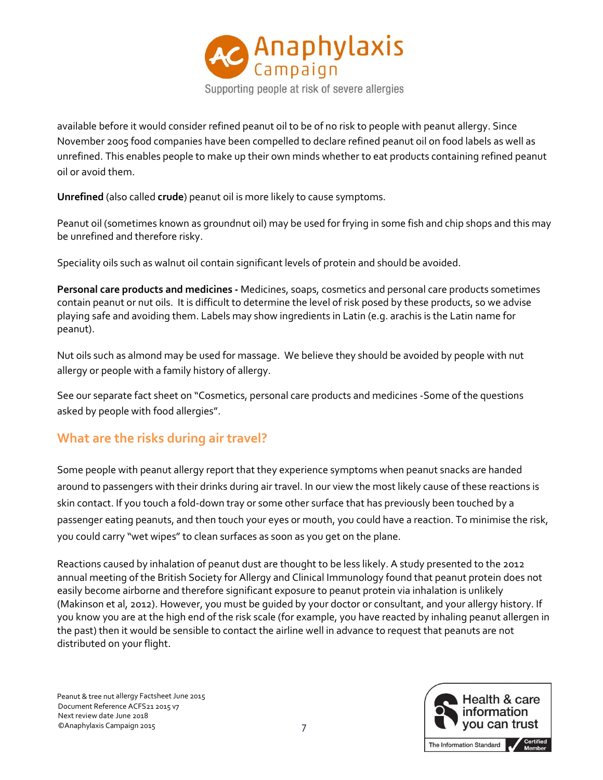

available before it would consider refined peanut oil to be of no risk to people with peanut allergy. Since November 2005 food companies have been compelled to declare refined peanut oil on food labels as well as unrefined. This enables people to make up their own minds whether to eat products containing refined peanut oil or avoid them.

**Unrefined** (also called **crude**) peanut oil is more likely to cause symptoms.

Peanut oil (sometimes known as groundnut oil) may be used for frying in some fish and chip shops and this may be unrefined and therefore risky.

Speciality oils such as walnut oil contain significant levels of protein and should be avoided.

**Personal care products and medicines -** Medicines, soaps, cosmetics and personal care products sometimes contain peanut or nut oils. It is difficult to determine the level of risk posed by these products, so we advise playing safe and avoiding them. Labels may show ingredients in Latin (e.g. arachis is the Latin name for peanut).

Nut oils such as almond may be used for massage. We believe they should be avoided by people with nut allergy or people with a family history of allergy.

See our separate fact sheet on "Cosmetics, personal care products and medicines -Some of the questions asked by people with food allergies".

## **What are the risks during air travel?**

Some people with peanut allergy report that they experience symptoms when peanut snacks are handed around to passengers with their drinks during air travel. In our view the most likely cause of these reactions is skin contact. If you touch a fold-down tray or some other surface that has previously been touched by a passenger eating peanuts, and then touch your eyes or mouth, you could have a reaction. To minimise the risk, you could carry "wet wipes" to clean surfaces as soon as you get on the plane.

Reactions caused by inhalation of peanut dust are thought to be less likely. A study presented to the 2012 annual meeting of the British Society for Allergy and Clinical Immunology found that peanut protein does not easily become airborne and therefore significant exposure to peanut protein via inhalation is unlikely (Makinson et al, 2012). However, you must be guided by your doctor or consultant, and your allergy history. If you know you are at the high end of the risk scale (for example, you have reacted by inhaling peanut allergen in the past) then it would be sensible to contact the airline well in advance to request that peanuts are not distributed on your flight.

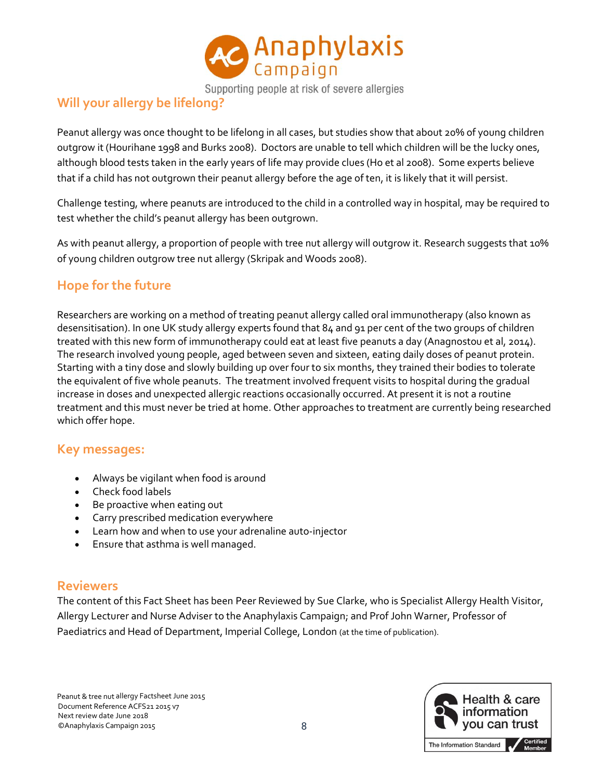

Supporting people at risk of severe allergies

### **Will your allergy be lifelong?**

Peanut allergy was once thought to be lifelong in all cases, but studies show that about 20% of young children outgrow it (Hourihane 1998 and Burks 2008). Doctors are unable to tell which children will be the lucky ones, although blood tests taken in the early years of life may provide clues (Ho et al 2008). Some experts believe that if a child has not outgrown their peanut allergy before the age of ten, it is likely that it will persist.

Challenge testing, where peanuts are introduced to the child in a controlled way in hospital, may be required to test whether the child's peanut allergy has been outgrown.

As with peanut allergy, a proportion of people with tree nut allergy will outgrow it. Research suggests that 10% of young children outgrow tree nut allergy (Skripak and Woods 2008).

### **Hope for the future**

Researchers are working on a method of treating peanut allergy called oral immunotherapy (also known as desensitisation). In one UK study allergy experts found that 84 and 91 per cent of the two groups of children treated with this new form of immunotherapy could eat at least five peanuts a day (Anagnostou et al, 2014). The research involved young people, aged between seven and sixteen, eating daily doses of peanut protein. Starting with a tiny dose and slowly building up over four to six months, they trained their bodies to tolerate the equivalent of five whole peanuts. The treatment involved frequent visits to hospital during the gradual increase in doses and unexpected allergic reactions occasionally occurred. At present it is not a routine treatment and this must never be tried at home. Other approaches to treatment are currently being researched which offer hope.

#### **Key messages:**

- Always be vigilant when food is around
- Check food labels
- Be proactive when eating out
- Carry prescribed medication everywhere
- Learn how and when to use your adrenaline auto-injector
- Ensure that asthma is well managed.

#### **Reviewers**

The content of this Fact Sheet has been Peer Reviewed by Sue Clarke, who is Specialist Allergy Health Visitor, Allergy Lecturer and Nurse Adviser to the Anaphylaxis Campaign; and Prof John Warner, Professor of Paediatrics and Head of Department, Imperial College, London (at the time of publication).

Peanut & tree nut allergy Factsheet June 2015 Document Reference ACFS21 2015 v7 Next review date June 2018 ©Anaphylaxis Campaign 2015 8